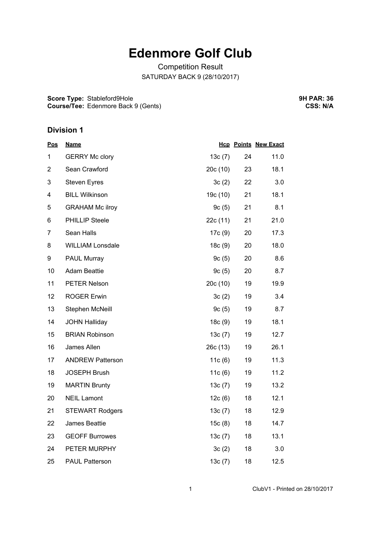## **Edenmore Golf Club**

Competition Result SATURDAY BACK 9 (28/10/2017)

**Score Type:** Stableford9Hole **Course/Tee:** Edenmore Back 9 (Gents) **9H PAR: 36 CSS: N/A**

## **Division 1**

| <u>Pos</u>     | <b>Name</b>             |           |    | <b>Hcp Points New Exact</b> |
|----------------|-------------------------|-----------|----|-----------------------------|
| 1              | <b>GERRY Mc clory</b>   | 13c(7)    | 24 | 11.0                        |
| $\overline{2}$ | Sean Crawford           | 20c(10)   | 23 | 18.1                        |
| 3              | <b>Steven Eyres</b>     | 3c(2)     | 22 | 3.0                         |
| 4              | <b>BILL Wilkinson</b>   | 19c (10)  | 21 | 18.1                        |
| 5              | <b>GRAHAM Mc ilroy</b>  | 9c(5)     | 21 | 8.1                         |
| 6              | <b>PHILLIP Steele</b>   | 22c (11)  | 21 | 21.0                        |
| $\overline{7}$ | Sean Halls              | 17c (9)   | 20 | 17.3                        |
| 8              | <b>WILLIAM Lonsdale</b> | 18c(9)    | 20 | 18.0                        |
| 9              | <b>PAUL Murray</b>      | 9c(5)     | 20 | 8.6                         |
| 10             | <b>Adam Beattie</b>     | 9c(5)     | 20 | 8.7                         |
| 11             | PETER Nelson            | 20c(10)   | 19 | 19.9                        |
| 12             | <b>ROGER Erwin</b>      | 3c(2)     | 19 | 3.4                         |
| 13             | Stephen McNeill         | 9c(5)     | 19 | 8.7                         |
| 14             | <b>JOHN Halliday</b>    | 18c(9)    | 19 | 18.1                        |
| 15             | <b>BRIAN Robinson</b>   | 13c(7)    | 19 | 12.7                        |
| 16             | James Allen             | 26c (13)  | 19 | 26.1                        |
| 17             | <b>ANDREW Patterson</b> | 11c(6)    | 19 | 11.3                        |
| 18             | <b>JOSEPH Brush</b>     | 11 $c(6)$ | 19 | 11.2                        |
| 19             | <b>MARTIN Brunty</b>    | 13c(7)    | 19 | 13.2                        |
| 20             | <b>NEIL Lamont</b>      | 12c(6)    | 18 | 12.1                        |
| 21             | <b>STEWART Rodgers</b>  | 13c(7)    | 18 | 12.9                        |
| 22             | James Beattie           | 15c(8)    | 18 | 14.7                        |
| 23             | <b>GEOFF Burrowes</b>   | 13c(7)    | 18 | 13.1                        |
| 24             | PETER MURPHY            | 3c(2)     | 18 | 3.0                         |
| 25             | <b>PAUL Patterson</b>   | 13c(7)    | 18 | 12.5                        |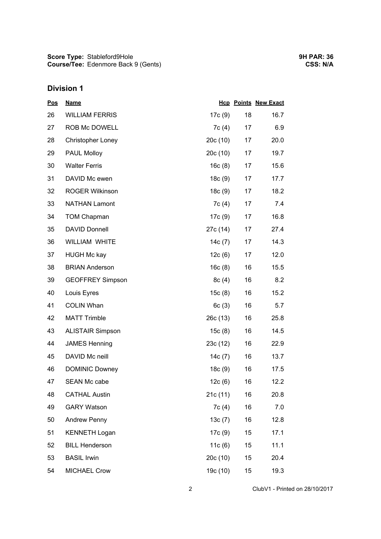**Score Type: Course/Tee:** Stableford9Hole Edenmore Back 9 (Gents)

## **Division 1**

| <u>Pos</u> | <b>Name</b>              |          |    | <b>Hcp Points New Exact</b> |
|------------|--------------------------|----------|----|-----------------------------|
| 26         | <b>WILLIAM FERRIS</b>    | 17c (9)  | 18 | 16.7                        |
| 27         | ROB Mc DOWELL            | 7c(4)    | 17 | 6.9                         |
| 28         | <b>Christopher Loney</b> | 20c(10)  | 17 | 20.0                        |
| 29         | PAUL Molloy              | 20c(10)  | 17 | 19.7                        |
| 30         | <b>Walter Ferris</b>     | 16c(8)   | 17 | 15.6                        |
| 31         | DAVID Mc ewen            | 18c(9)   | 17 | 17.7                        |
| 32         | <b>ROGER Wilkinson</b>   | 18c(9)   | 17 | 18.2                        |
| 33         | <b>NATHAN Lamont</b>     | 7c (4)   | 17 | 7.4                         |
| 34         | <b>TOM Chapman</b>       | 17c(9)   | 17 | 16.8                        |
| 35         | <b>DAVID Donnell</b>     | 27c (14) | 17 | 27.4                        |
| 36         | WILLIAM WHITE            | 14c (7)  | 17 | 14.3                        |
| 37         | <b>HUGH Mc kay</b>       | 12c(6)   | 17 | 12.0                        |
| 38         | <b>BRIAN Anderson</b>    | 16c(8)   | 16 | 15.5                        |
| 39         | <b>GEOFFREY Simpson</b>  | 8c(4)    | 16 | 8.2                         |
| 40         | Louis Eyres              | 15c(8)   | 16 | 15.2                        |
| 41         | <b>COLIN Whan</b>        | 6c(3)    | 16 | 5.7                         |
| 42         | <b>MATT Trimble</b>      | 26c(13)  | 16 | 25.8                        |
| 43         | <b>ALISTAIR Simpson</b>  | 15c(8)   | 16 | 14.5                        |
| 44         | <b>JAMES Henning</b>     | 23c(12)  | 16 | 22.9                        |
| 45         | DAVID Mc neill           | 14c(7)   | 16 | 13.7                        |
| 46         | <b>DOMINIC Downey</b>    | 18c(9)   | 16 | 17.5                        |
| 47         | <b>SEAN Mc cabe</b>      | 12c(6)   | 16 | 12.2                        |
| 48         | <b>CATHAL Austin</b>     | 21c(11)  | 16 | 20.8                        |
| 49         | <b>GARY Watson</b>       | 7c(4)    | 16 | 7.0                         |
| 50         | <b>Andrew Penny</b>      | 13c(7)   | 16 | 12.8                        |
| 51         | <b>KENNETH Logan</b>     | 17c(9)   | 15 | 17.1                        |
| 52         | <b>BILL Henderson</b>    | 11c(6)   | 15 | 11.1                        |
| 53         | <b>BASIL Irwin</b>       | 20c (10) | 15 | 20.4                        |
| 54         | <b>MICHAEL Crow</b>      | 19c (10) | 15 | 19.3                        |